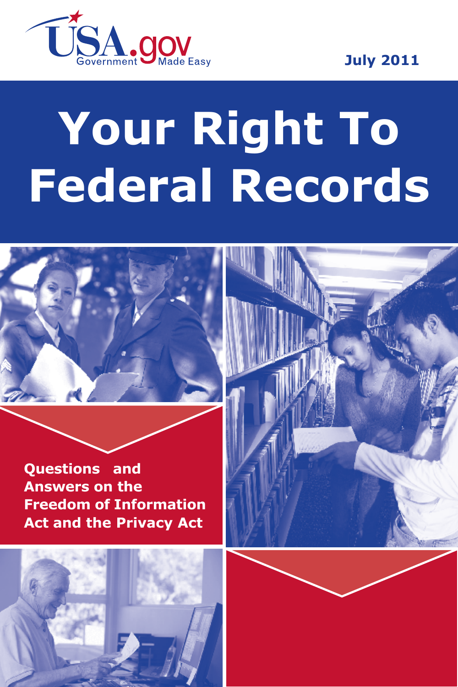

**July 2011**

# **Your Right To Federal Records**







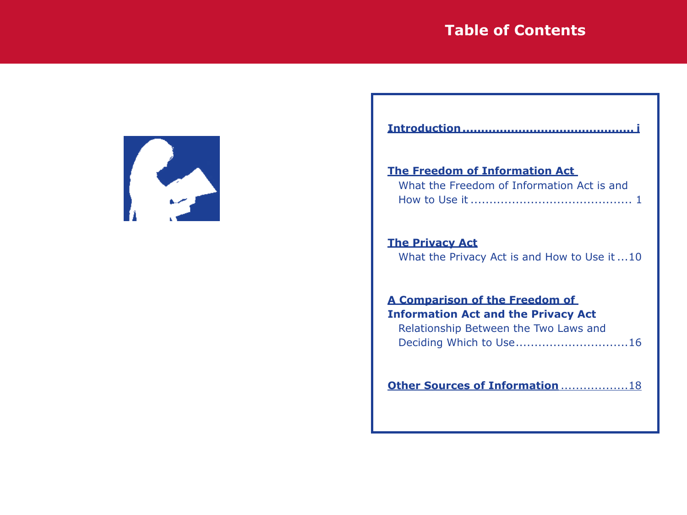# **Table of Contents**



# **[The Freedom of Information Act](#page-3-0)**

| What the Freedom of Information Act is and |  |
|--------------------------------------------|--|
|                                            |  |

# **[The Privacy Act](#page-8-0)** What the Privacy Act is and How to Use it ...10

**[A Comparison of the Freedom of](#page-11-0)  Information Act and the Privacy Act** Relationship Between the Two Laws and

| <b>INCIDENTION IDEOGRAPHIC INTO LAND AND</b> |  |  |  |
|----------------------------------------------|--|--|--|
| Deciding Which to Use16                      |  |  |  |

**[Other Sources of Information](#page-12-0)** ..................18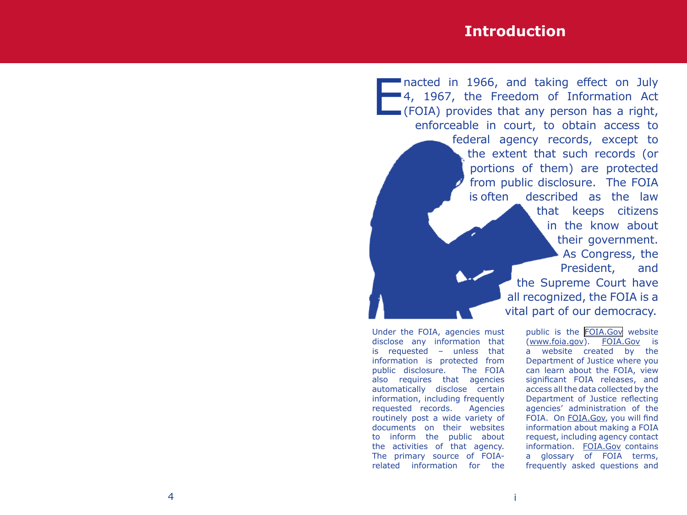# **Introduction**

<span id="page-2-0"></span>nacted in 1966, and taking effect on July<br>4, 1967, the Freedom of Information Act<br>(FOIA) provides that any person has a right, 4, 1967, the Freedom of Information Act (FOIA) provides that any person has a right, enforceable in court, to obtain access to federal agency records, except to the extent that such records (or portions of them) are protected from public disclosure. The FOIA is often described as the law that keeps citizens in the know about their government. As Congress, the President, and the Supreme Court have all recognized, the FOIA is a vital part of our democracy.

Under the FOIA, agencies must disclose any information that is requested – unless that information is protected from public disclosure. The FOIA also requires that agencies automatically disclose certain information, including frequently requested records. Agencies routinely post a wide variety of documents on their websites to inform the public about the activities of that agency. The primary source of FOIArelated information for the

public is the [FOIA.Gov](http://www.foia.gov) website [\(www.foia.gov](http://www.foia.gov)). [FOIA.Gov](http://www.foia.gov) is a website created by the Department of Justice where you can learn about the FOIA, view significant FOIA releases, and access all the data collected by the Department of Justice reflecting agencies' administration of the FOIA. On [FOIA.Gov](http://www.foia.gov), you will find information about making a FOIA request, including agency contact information. [FOIA.Gov](http://www.foia.gov) contains a glossary of FOIA terms, frequently asked questions and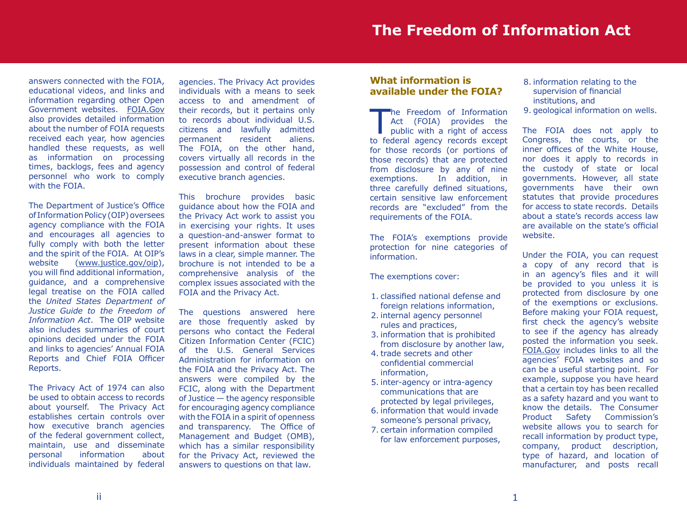<span id="page-3-0"></span>answers connected with the FOIA, educational videos, and links and information regarding other Open Government websites. [FOIA.Gov](http://www.foia.gov) also provides detailed information about the number of FOIA requests received each year, how agencies handled these requests, as well as information on processing times, backlogs, fees and agency personnel who work to comply with the FOIA.

The Department of Justice's Office of Information Policy (OIP) oversees agency compliance with the FOIA and encourages all agencies to fully comply with both the letter and the spirit of the FOIA. At OIP's website ([www.justice.gov/oip\)](www.justice.gov/oip), you will find additional information, guidance, and a comprehensive legal treatise on the FOIA called the *United States Department of Justice Guide to the Freedom of Information Act*. The OIP website also includes summaries of court opinions decided under the FOIA and links to agencies' Annual FOIA Reports and Chief FOIA Officer Reports.

The Privacy Act of 1974 can also be used to obtain access to records about yourself. The Privacy Act establishes certain controls over how executive branch agencies of the federal government collect, maintain, use and disseminate personal information about individuals maintained by federal

agencies. The Privacy Act provides individuals with a means to seek access to and amendment of their records, but it pertains only to records about individual U.S. citizens and lawfully admitted permanent resident aliens. The FOIA, on the other hand, covers virtually all records in the possession and control of federal executive branch agencies.

This brochure provides basic guidance about how the FOIA and the Privacy Act work to assist you in exercising your rights. It uses a question-and-answer format to present information about these laws in a clear, simple manner. The brochure is not intended to be a comprehensive analysis of the complex issues associated with the FOIA and the Privacy Act.

The questions answered here are those frequently asked by persons who contact the Federal Citizen Information Center (FCIC) of the U.S. General Services Administration for information on the FOIA and the Privacy Act. The answers were compiled by the FCIC, along with the Department of Justice — the agency responsible for encouraging agency compliance with the FOIA in a spirit of openness and transparency. The Office of Management and Budget (OMB), which has a similar responsibility for the Privacy Act, reviewed the answers to questions on that law.

# **What information is available under the FOIA?**

The Freedom of Information<br>
Act (FOIA) provides the<br>
public with a right of access Act (FOIA) provides the to federal agency records except for those records (or portions of those records) that are protected from disclosure by any of nine exemptions. In addition, in three carefully defined situations, certain sensitive law enforcement records are "excluded" from the requirements of the FOIA.

The FOIA's exemptions provide protection for nine categories of information.

The exemptions cover:

- 1. classified national defense and foreign relations information,
- 2. internal agency personnel rules and practices,
- 3. information that is prohibited from disclosure by another law,
- 4. trade secrets and other confidential commercial information,
- 5. inter-agency or intra-agency communications that are protected by legal privileges,
- 6. information that would invade someone's personal privacy,
- 7. certain information compiled for law enforcement purposes,
- 8. information relating to the supervision of financial institutions, and
- 9. geological information on wells.

The FOIA does not apply to Congress, the courts, or the inner offices of the White House, nor does it apply to records in the custody of state or local governments. However, all state governments have their own statutes that provide procedures for access to state records. Details about a state's records access law are available on the state's official website.

Under the FOIA, you can request a copy of any record that is in an agency's files and it will be provided to you unless it is protected from disclosure by one of the exemptions or exclusions. Before making your FOIA request, first check the agency's website to see if the agency has already posted the information you seek. [FOIA.Gov](http://www.foia.gov) includes links to all the agencies' FOIA websites and so can be a useful starting point. For example, suppose you have heard that a certain toy has been recalled as a safety hazard and you want to know the details. The Consumer Product Safety Commission's website allows you to search for recall information by product type, company, product description, type of hazard, and location of manufacturer, and posts recall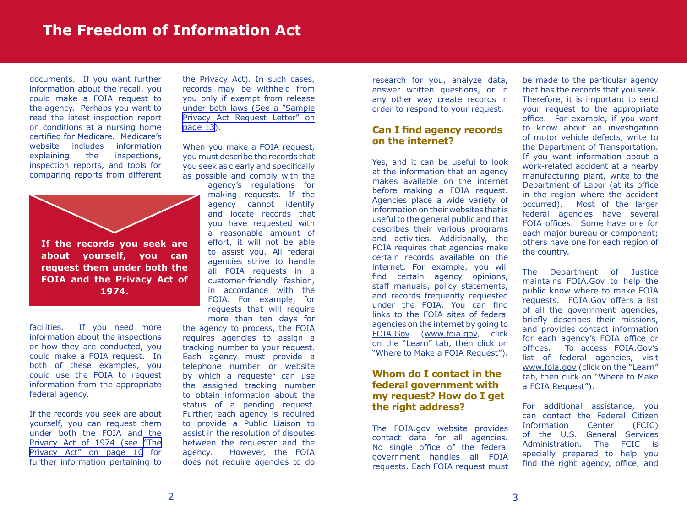documents. If you want further information about the recall, you could make a FOIA request to the agency. Perhaps you want to read the latest inspection report on conditions at a nursing home certified for Medicare. Medicare's website includes information explaining the inspections, inspection reports, and tools for comparing reports from different



facilities. If you need more information about the inspections or how they are conducted, you could make a FOIA request. In both of these examples, you could use the FOIA to request information from the appropriate federal agency.

If the records you seek are about yourself, you can request them under both the FOIA and the Privacy Act of 1974 (see ["The](#page-8-1) [Privacy Act" on page 10](#page-8-1) for further information pertaining to

the Privacy Act). In such cases, records may be withheld from you only if exempt from release under both laws (See a ["Sample](#page-9-0) [Privacy Act Request Letter" on](#page-9-0)  [page 13\)](#page-9-0).

When you make a FOIA request, you must describe the records that you seek as clearly and specifically as possible and comply with the

agency's regulations for making requests. If the agency cannot identify and locate records that you have requested with a reasonable amount of effort, it will not be able to assist you. All federal agencies strive to handle all FOIA requests in a customer-friendly fashion, in accordance with the FOIA. For example, for requests that will require more than ten days for

the agency to process, the FOIA requires agencies to assign a tracking number to your request. Each agency must provide a telephone number or website by which a requester can use the assigned tracking number to obtain information about the status of a pending request. Further, each agency is required to provide a Public Liaison to assist in the resolution of disputes between the requester and the agency. However, the FOIA does not require agencies to do

research for you, analyze data, answer written questions, or in any other way create records in order to respond to your request.

#### **Can I find agency records on the internet?**

Yes, and it can be useful to look at the information that an agency makes available on the internet before making a FOIA request. Agencies place a wide variety of information on their websites that is useful to the general public and that describes their various programs and activities. Additionally, the FOIA requires that agencies make certain records available on the internet. For example, you will find certain agency opinions, staff manuals, policy statements, and records frequently requested under the FOIA. You can find links to the FOIA sites of federal agencies on the internet by going to [FOIA.Gov](http://www.foia.gov) ([www.foia.gov,](http://www.foia.gov) click on the "Learn" tab, then click on "Where to Make a FOIA Request").

## <span id="page-4-0"></span>**Whom do I contact in the federal government with my request? How do I get the right address?**

The **[FOIA.gov](http://www.foia.gov)** website provides contact data for all agencies. No single office of the federal government handles all FOIA requests. Each FOIA request must

be made to the particular agency that has the records that you seek. Therefore, it is important to send your request to the appropriate office. For example, if you want to know about an investigation of motor vehicle defects, write to the Department of Transportation. If you want information about a work-related accident at a nearby manufacturing plant, write to the Department of Labor (at its office in the region where the accident occurred). Most of the larger federal agencies have several FOIA offices. Some have one for each major bureau or component; others have one for each region of the country.

The Department of Justice maintains [FOIA.Gov](http://www.foia.gov) to help the public know where to make FOIA requests. [FOIA.Gov](http://www.foia.gov) offers a list of all the government agencies, briefly describes their missions, and provides contact information for each agency's FOIA office or offices. To access [FOIA.Gov](http://www.foia.gov)'s list of federal agencies, visit [www.foia.gov](http://www.foia.gov) (click on the "Learn" tab, then click on "Where to Make a FOIA Request").

For additional assistance, you can contact the Federal Citizen Information Center (FCIC) of the U.S. General Services Administration. The FCIC is specially prepared to help you find the right agency, office, and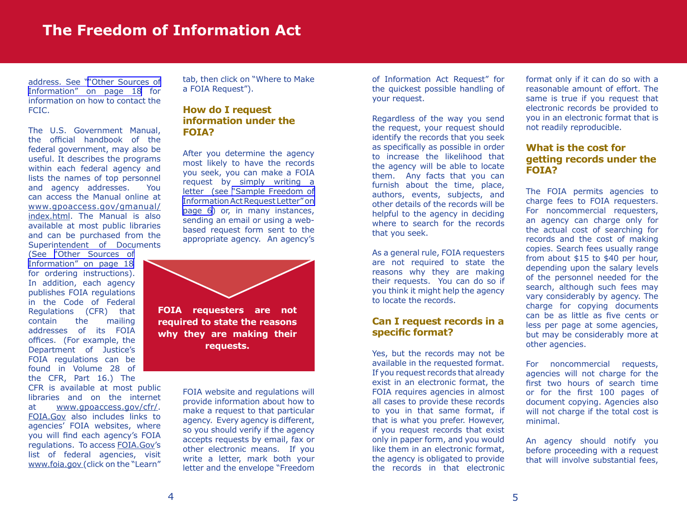# **The Freedom of Information Act**

address. See "["Other Sources of](#page-12-1) [Information" on page 18](#page-12-1) for information on how to contact the FCIC.

The U.S. Government Manual, the official handbook of the federal government, may also be useful. It describes the programs within each federal agency and lists the names of top personnel and agency addresses. You can access the Manual online at [www.gpoaccess.gov/gmanual/](http://www.gpoaccess.gov/gmanual/index.html) [index.html](http://www.gpoaccess.gov/gmanual/index.html). The Manual is also available at most public libraries and can be purchased from the Superintendent of Documents

(See ["Other Sources of](#page-12-1) [Information" on page 18](#page-12-1) for ordering instructions). In addition, each agency publishes FOIA regulations in the Code of Federal Regulations (CFR) that contain the mailing addresses of its FOIA offices. (For example, the Department of Justice's FOIA regulations can be found in Volume 28 of the CFR, Part 16.) The

CFR is available at most public libraries and on the internet at [www.gpoaccess.gov/cfr/](http://www.gpoaccess.gov/cfr/). [FOIA.Gov](http://www.foia.gov) also includes links to agencies' FOIA websites, where you will find each agency's FOIA regulations. To access [FOIA.Gov'](http://www.foia.gov)s list of federal agencies, visit [www.foia.gov](http://www.foia.gov). (click on the "Learn"

tab, then click on "Where to Make a FOIA Request").

#### **How do I request information under the FOIA?**

After you determine the agency most likely to have the records you seek, you can make a FOIA request by simply writing a letter (see ["Sample Freedom of](#page-6-0)  [Information Act Request Letter" on](#page-6-0)  [page 6\)](#page-6-0) or, in many instances, sending an email or using a webbased request form sent to the appropriate agency. An agency's

**FOIA requesters are not required to state the reasons why they are making their requests.** 

> FOIA website and regulations will provide information about how to make a request to that particular agency. Every agency is different, so you should verify if the agency accepts requests by email, fax or other electronic means. If you write a letter, mark both your letter and the envelope "Freedom

of Information Act Request" for the quickest possible handling of your request.

Regardless of the way you send the request, your request should identify the records that you seek as specifically as possible in order to increase the likelihood that the agency will be able to locate them. Any facts that you can furnish about the time, place, authors, events, subjects, and other details of the records will be helpful to the agency in deciding where to search for the records that you seek.

As a general rule, FOIA requesters are not required to state the reasons why they are making their requests. You can do so if you think it might help the agency to locate the records.

# **Can I request records in a specific format?**

Yes, but the records may not be available in the requested format. If you request records that already exist in an electronic format, the FOIA requires agencies in almost all cases to provide these records to you in that same format, if that is what you prefer. However, if you request records that exist only in paper form, and you would like them in an electronic format, the agency is obligated to provide the records in that electronic

format only if it can do so with a reasonable amount of effort. The same is true if you request that electronic records be provided to you in an electronic format that is not readily reproducible.

#### **What is the cost for getting records under the FOIA?**

The FOIA permits agencies to charge fees to FOIA requesters. For noncommercial requesters, an agency can charge only for the actual cost of searching for records and the cost of making copies. Search fees usually range from about \$15 to \$40 per hour, depending upon the salary levels of the personnel needed for the search, although such fees may vary considerably by agency. The charge for copying documents can be as little as five cents or less per page at some agencies, but may be considerably more at other agencies.

For noncommercial requests, agencies will not charge for the first two hours of search time or for the first 100 pages of document copying. Agencies also will not charge if the total cost is minimal.

An agency should notify you before proceeding with a request that will involve substantial fees,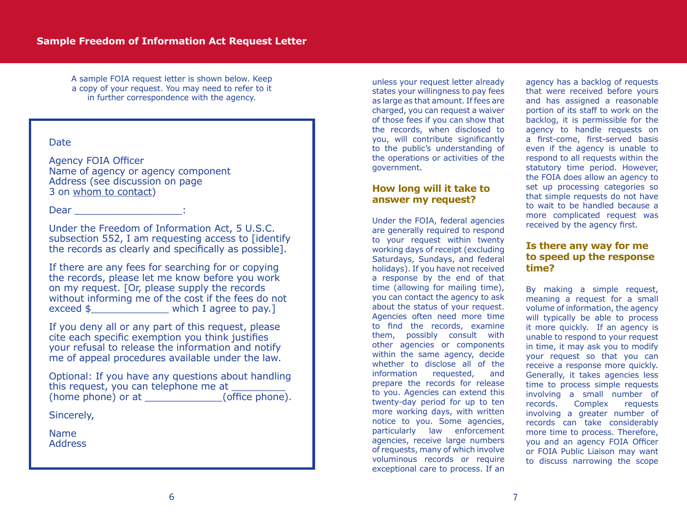<span id="page-6-0"></span>A sample FOIA request letter is shown below. Keep a copy of your request. You may need to refer to it in further correspondence with the agency.

#### Date

Agency FOIA Officer Name of agency or agency component Address (see discussion on page 3 on [whom to contact\)](#page-4-0)

Dear \_\_\_\_\_\_\_\_\_\_\_\_\_\_\_\_\_\_\_\_\_\_\_\_:

Under the Freedom of Information Act, 5 U.S.C. subsection 552, I am requesting access to [identify the records as clearly and specifically as possible].

If there are any fees for searching for or copying the records, please let me know before you work on my request. [Or, please supply the records without informing me of the cost if the fees do not exceed \$ which I agree to pay.]

If you deny all or any part of this request, please cite each specific exemption you think justifies your refusal to release the information and notify me of appeal procedures available under the law.

Optional: If you have any questions about handling this request, you can telephone me at \_\_\_\_\_\_\_\_\_ (home phone) or at \_\_\_\_\_\_\_\_\_\_\_\_(office phone).

Sincerely,

Name **Address** 

unless your request letter already states your willingness to pay fees as large as that amount. If fees are charged, you can request a waiver of those fees if you can show that the records, when disclosed to you, will contribute significantly to the public's understanding of the operations or activities of the government.

# **How long will it take to answer my request?**

Under the FOIA, federal agencies are generally required to respond to your request within twenty working days of receipt (excluding Saturdays, Sundays, and federal holidays). If you have not received a response by the end of that time (allowing for mailing time), you can contact the agency to ask about the status of your request. Agencies often need more time to find the records, examine them, possibly consult with other agencies or components within the same agency, decide whether to disclose all of the information requested, and prepare the records for release to you. Agencies can extend this twenty-day period for up to ten more working days, with written notice to you. Some agencies, particularly law enforcement agencies, receive large numbers of requests, many of which involve voluminous records or require exceptional care to process. If an

agency has a backlog of requests that were received before yours and has assigned a reasonable portion of its staff to work on the backlog, it is permissible for the agency to handle requests on a first-come, first-served basis even if the agency is unable to respond to all requests within the statutory time period. However, the FOIA does allow an agency to set up processing categories so that simple requests do not have to wait to be handled because a more complicated request was received by the agency first.

# **Is there any way for me to speed up the response time?**

By making a simple request, meaning a request for a small volume of information, the agency will typically be able to process it more quickly. If an agency is unable to respond to your request in time, it may ask you to modify your request so that you can receive a response more quickly. Generally, it takes agencies less time to process simple requests involving a small number of records. Complex requests involving a greater number of records can take considerably more time to process. Therefore, you and an agency FOIA Officer or FOIA Public Liaison may want to discuss narrowing the scope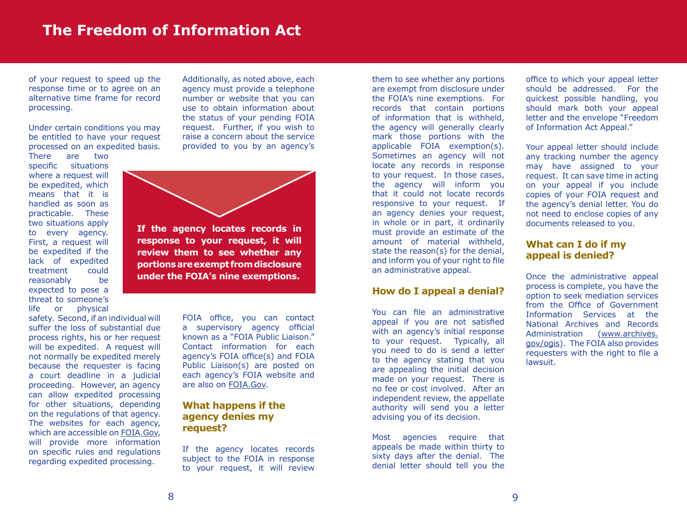# **The Freedom of Information Act**

of your request to speed up the response time or to agree on an alternative time frame for record processing.

Under certain conditions you may be entitled to have your request processed on an expedited basis.

There are two specific situations where a request will be expedited, which means that it is handled as soon as practicable. These two situations apply to every agency. First, a request will be expedited if the lack of expedited treatment could reasonably be expected to pose a threat to someone's life or physical

safety. Second, if an individual will suffer the loss of substantial due process rights, his or her request will be expedited. A request will not normally be expedited merely because the requester is facing a court deadline in a judicial proceeding. However, an agency can allow expedited processing for other situations, depending on the regulations of that agency. The websites for each agency, which are accessible on [FOIA.Gov](http://www.foia.gov), will provide more information on specific rules and regulations regarding expedited processing.

Additionally, as noted above, each agency must provide a telephone number or website that you can use to obtain information about the status of your pending FOIA request. Further, if you wish to raise a concern about the service provided to you by an agency's



FOIA office, you can contact a supervisory agency official known as a "FOIA Public Liaison." Contact information for each agency's FOIA office(s) and FOIA Public Liaison(s) are posted on each agency's FOIA website and are also on [FOIA.Gov.](http://www.foia.gov)

# **What happens if the agency denies my request?**

If the agency locates records subject to the FOIA in response to your request, it will review

them to see whether any portions are exempt from disclosure under the FOIA's nine exemptions. For records that contain portions of information that is withheld, the agency will generally clearly mark those portions with the applicable FOIA exemption(s). Sometimes an agency will not locate any records in response to your request. In those cases, the agency will inform you that it could not locate records responsive to your request. If an agency denies your request, in whole or in part, it ordinarily must provide an estimate of the amount of material withheld, state the reason(s) for the denial, and inform you of your right to file an administrative appeal.

#### **How do I appeal a denial?**

You can file an administrative appeal if you are not satisfied with an agency's initial response to your request. Typically, all you need to do is send a letter to the agency stating that you are appealing the initial decision made on your request. There is no fee or cost involved. After an independent review, the appellate authority will send you a letter advising you of its decision.

Most agencies require that appeals be made within thirty to sixty days after the denial. The denial letter should tell you the

office to which your appeal letter should be addressed. For the quickest possible handling, you should mark both your appeal letter and the envelope "Freedom of Information Act Appeal."

Your appeal letter should include any tracking number the agency may have assigned to your request. It can save time in acting on your appeal if you include copies of your FOIA request and the agency's denial letter. You do not need to enclose copies of any documents released to you.

#### **What can I do if my appeal is denied?**

Once the administrative appeal process is complete, you have the option to seek mediation services from the Office of Government Information Services at the National Archives and Records Administration [\(www.archives.](http://www.archives.gov/ogis) [gov/ogis\)](http://www.archives.gov/ogis). The FOIA also provides requesters with the right to file a lawsuit.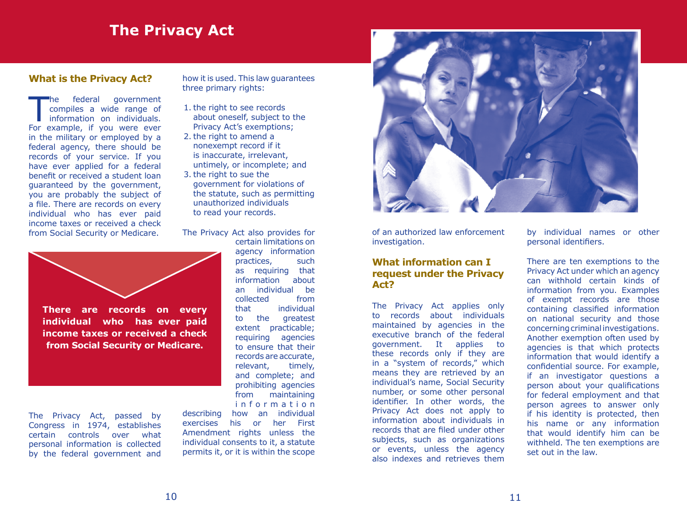# **The Privacy Act**

#### <span id="page-8-0"></span>**What is the Privacy Act?**

The federal government<br>compiles a wide range of<br>information on individuals. compiles a wide range of information on individuals. For example, if you were ever in the military or employed by a federal agency, there should be records of your service. If you have ever applied for a federal benefit or received a student loan guaranteed by the government, you are probably the subject of a file. There are records on every individual who has ever paid income taxes or received a check from Social Security or Medicare.

<span id="page-8-1"></span>how it is used. This law guarantees three primary rights:

- 1. the right to see records about oneself, subject to the Privacy Act's exemptions;
- 2. the right to amend a nonexempt record if it is inaccurate, irrelevant, untimely, or incomplete; and 3. the right to sue the
- government for violations of the statute, such as permitting unauthorized individuals to read your records.

The Privacy Act also provides for



The Privacy Act, passed by Congress in 1974, establishes certain controls over what personal information is collected by the federal government and

certain limitations on agency information practices, such as requiring that information about an individual be collected from that individual to the greatest extent practicable; requiring agencies to ensure that their records are accurate, relevant, timely, and complete; and prohibiting agencies from maintaining information

describing how an individual exercises his or her First Amendment rights unless the individual consents to it, a statute permits it, or it is within the scope



of an authorized law enforcement investigation.

# **What information can I request under the Privacy Act?**

The Privacy Act applies only to records about individuals maintained by agencies in the executive branch of the federal government. It applies to these records only if they are in a "system of records," which means they are retrieved by an individual's name, Social Security number, or some other personal identifier. In other words, the Privacy Act does not apply to information about individuals in records that are filed under other subjects, such as organizations or events, unless the agency also indexes and retrieves them

by individual names or other personal identifiers.

There are ten exemptions to the Privacy Act under which an agency can withhold certain kinds of information from you. Examples of exempt records are those containing classified information on national security and those concerning criminal investigations. Another exemption often used by agencies is that which protects information that would identify a confidential source. For example, if an investigator questions a person about your qualifications for federal employment and that person agrees to answer only if his identity is protected, then his name or any information that would identify him can be withheld. The ten exemptions are set out in the law.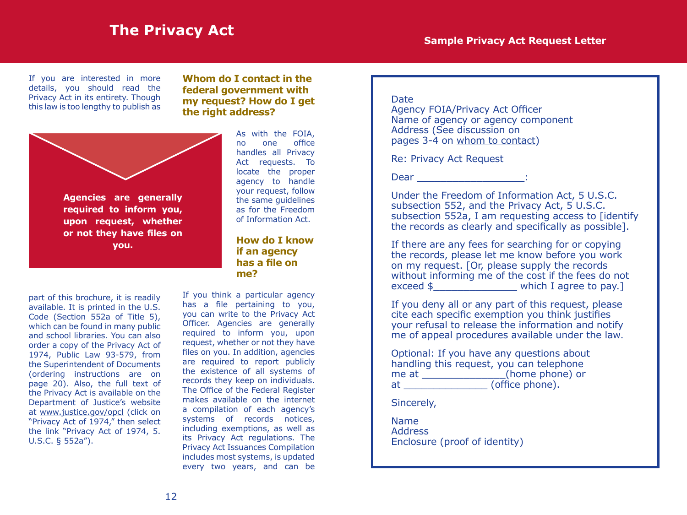# **The Privacy Act**

If you are interested in more details, you should read the Privacy Act in its entirety. Though this law is too lengthy to publish as



**Whom do I contact in the federal government with my request? How do I get the right address?**

> As with the FOIA, no one office handles all Privacy Act requests. To locate the proper agency to handle your request, follow the same guidelines as for the Freedom of Information Act.

# **How do I know if an agency has a file on me?**

part of this brochure, it is readily available. It is printed in the U.S. Code (Section 552a of Title 5), which can be found in many public and school libraries. You can also order a copy of the Privacy Act of 1974, Public Law 93-579, from the Superintendent of Documents (ordering instructions are on page 20). Also, the full text of the Privacy Act is available on the Department of Justice's website at [www.justice.gov/opcl](http://www.justice.gov/opcl) (click on "Privacy Act of 1974," then select the link "Privacy Act of 1974, 5. U.S.C. § 552a").

If you think a particular agency has a file pertaining to you, you can write to the Privacy Act Officer. Agencies are generally required to inform you, upon request, whether or not they have files on you. In addition, agencies are required to report publicly the existence of all systems of records they keep on individuals. The Office of the Federal Register makes available on the internet a compilation of each agency's systems of records notices, including exemptions, as well as its Privacy Act regulations. The Privacy Act Issuances Compilation includes most systems, is updated every two years, and can be

# <span id="page-9-0"></span>Date

Agency FOIA/Privacy Act Officer Name of agency or agency component Address (See discussion on pages 3-4 on [whom to contact](#page-4-0))

Re: Privacy Act Request

Dear \_\_\_\_\_\_\_\_\_\_\_\_\_\_\_\_\_\_\_\_\_\_\_\_\_:

Under the Freedom of Information Act, 5 U.S.C. subsection 552, and the Privacy Act, 5 U.S.C. subsection 552a, I am requesting access to [identify the records as clearly and specifically as possible].

If there are any fees for searching for or copying the records, please let me know before you work on my request. [Or, please supply the records without informing me of the cost if the fees do not exceed \$ The which I agree to pay.

If you deny all or any part of this request, please cite each specific exemption you think justifies your refusal to release the information and notify me of appeal procedures available under the law.

Optional: If you have any questions about handling this request, you can telephone me at \_\_\_\_\_\_\_\_\_\_\_\_\_\_\_\_(home phone) or at \_\_\_\_\_\_\_\_\_\_\_\_\_\_\_\_\_\_\_\_ (office phone).

Sincerely,

Name Address Enclosure (proof of identity)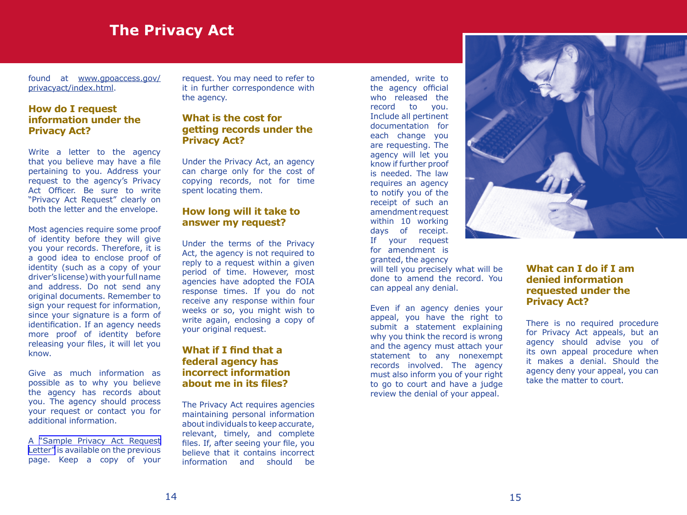# **The Privacy Act**

found at [www.gpoaccess.gov/](http://www.gpoaccess.gov/privacyact/index.html) [privacyact/index.html.](http://www.gpoaccess.gov/privacyact/index.html)

# **How do I request information under the Privacy Act?**

Write a letter to the agency that you believe may have a file pertaining to you. Address your request to the agency's Privacy Act Officer. Be sure to write "Privacy Act Request" clearly on both the letter and the envelope.

Most agencies require some proof of identity before they will give you your records. Therefore, it is a good idea to enclose proof of identity (such as a copy of your driver's license) with your full name and address. Do not send any original documents. Remember to sign your request for information, since your signature is a form of identification. If an agency needs more proof of identity before releasing your files, it will let you know.

Give as much information as possible as to why you believe the agency has records about you. The agency should process your request or contact you for additional information.

A ["Sample Privacy Act Request](#page-9-0) [Letter"](#page-9-0) is available on the previous page. Keep a copy of your

request. You may need to refer to it in further correspondence with the agency.

# **What is the cost for getting records under the Privacy Act?**

Under the Privacy Act, an agency can charge only for the cost of copying records, not for time spent locating them.

# **How long will it take to answer my request?**

Under the terms of the Privacy Act, the agency is not required to reply to a request within a given period of time. However, most agencies have adopted the FOIA response times. If you do not receive any response within four weeks or so, you might wish to write again, enclosing a copy of your original request.

## **What if I find that a federal agency has incorrect information about me in its files?**

The Privacy Act requires agencies maintaining personal information about individuals to keep accurate, relevant, timely, and complete files. If, after seeing your file, you believe that it contains incorrect information and should be

amended, write to the agency official who released the record to you. Include all pertinent documentation for each change you are requesting. The agency will let you know if further proof is needed. The law requires an agency to notify you of the receipt of such an amendment request within 10 working days of receipt. If your request for amendment is granted, the agency

will tell you precisely what will be done to amend the record. You can appeal any denial.

Even if an agency denies your appeal, you have the right to submit a statement explaining why you think the record is wrong and the agency must attach your statement to any nonexempt records involved. The agency must also inform you of your right to go to court and have a judge review the denial of your appeal.



## **What can I do if I am denied information requested under the Privacy Act?**

There is no required procedure for Privacy Act appeals, but an agency should advise you of its own appeal procedure when it makes a denial. Should the agency deny your appeal, you can take the matter to court.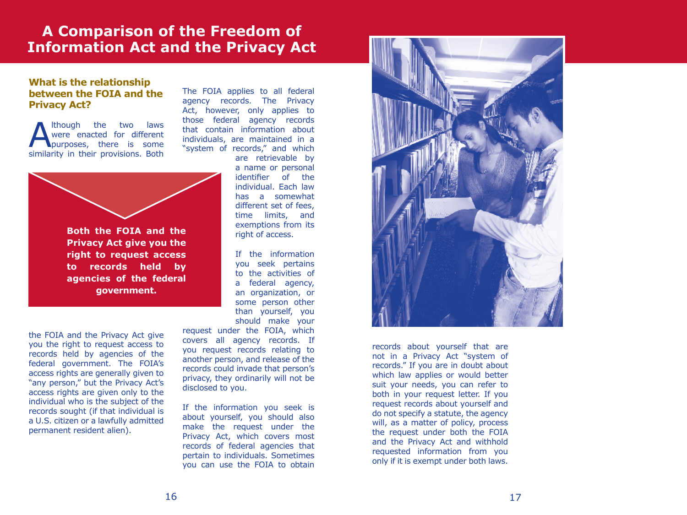# <span id="page-11-0"></span>**A Comparison of the Freedom of Information Act and the Privacy Act**

# **What is the relationship between the FOIA and the Privacy Act?**

Although the two laws<br>
were enacted for different<br>
purposes, there is some<br>
pinalization being provisions Beth were enacted for different similarity in their provisions. Both



the FOIA and the Privacy Act give you the right to request access to records held by agencies of the federal government. The FOIA's access rights are generally given to "any person," but the Privacy Act's access rights are given only to the individual who is the subject of the records sought (if that individual is a U.S. citizen or a lawfully admitted permanent resident alien).

The FOIA applies to all federal agency records. The Privacy Act, however, only applies to those federal agency records that contain information about individuals, are maintained in a "system of records," and which

are retrievable by a name or personal identifier of the individual. Each law has a somewhat different set of fees, time limits, and exemptions from its right of access.

If the information you seek pertains to the activities of a federal agency, an organization, or some person other than yourself, you should make your

request under the FOIA, which covers all agency records. If you request records relating to another person, and release of the records could invade that person's privacy, they ordinarily will not be disclosed to you.

If the information you seek is about yourself, you should also make the request under the Privacy Act, which covers most records of federal agencies that pertain to individuals. Sometimes you can use the FOIA to obtain



records about yourself that are not in a Privacy Act "system of records." If you are in doubt about which law applies or would better suit your needs, you can refer to both in your request letter. If you request records about yourself and do not specify a statute, the agency will, as a matter of policy, process the request under both the FOIA and the Privacy Act and withhold requested information from you only if it is exempt under both laws.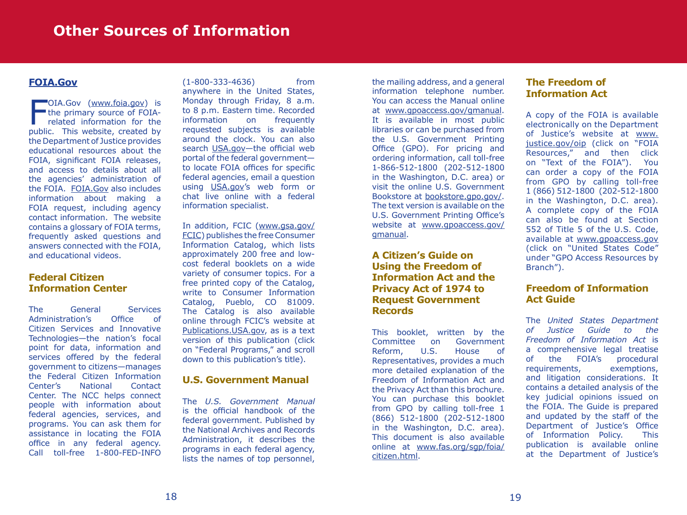# <span id="page-12-0"></span>**[FOIA.Gov](http://www.foia.gov)**

OIA.Gov ([www.foia.gov\)](http://www.foia.gov) is<br>the primary source of FOIA-<br>related information for the the primary source of FOIArelated information for the public. This website, created by the Department of Justice provides educational resources about the FOIA, significant FOIA releases, and access to details about all the agencies' administration of the FOIA. FOIA. Gov also includes information about making a FOIA request, including agency contact information. The website contains a glossary of FOIA terms, frequently asked questions and answers connected with the FOIA, and educational videos.

# **Federal Citizen Information Center**

The General Services Administration's Office of Citizen Services and Innovative Technologies—the nation's focal point for data, information and services offered by the federal government to citizens—manages the Federal Citizen Information Center's National Contact Center. The NCC helps connect people with information about federal agencies, services, and programs. You can ask them for assistance in locating the FOIA office in any federal agency. Call toll-free 1-800-FED-INFO

<span id="page-12-1"></span>(1-800-333-4636) from anywhere in the United States, Monday through Friday, 8 a.m. to 8 p.m. Eastern time. Recorded information on frequently requested subjects is available around the clock. You can also search [USA.gov](http://www.USA.gov)—the official web portal of the federal government to locate FOIA offices for specific federal agencies, email a question using [USA.gov](http://www.USA.gov)'s web form or chat live online with a federal information specialist.

In addition, FCIC [\(www.gsa.gov/](http://www.gsa.gov/FCIC) [FCIC](http://www.gsa.gov/FCIC)) publishes the free Consumer Information Catalog, which lists approximately 200 free and lowcost federal booklets on a wide variety of consumer topics. For a free printed copy of the Catalog, write to Consumer Information Catalog, Pueblo, CO 81009. The Catalog is also available online through FCIC's website at [Publications.USA.gov,](http://Publications.USA.gov) as is a text version of this publication (click on "Federal Programs," and scroll down to this publication's title).

# **U.S. Government Manual**

The *U.S. Government Manual* is the official handbook of the federal government. Published by the National Archives and Records Administration, it describes the programs in each federal agency, lists the names of top personnel,

the mailing address, and a general information telephone number. You can access the Manual online at [www.gpoaccess.gov/gmanual.](http://www.gpoaccess.gov/gmanual) It is available in most public libraries or can be purchased from the U.S. Government Printing Office (GPO). For pricing and ordering information, call toll-free 1-866-512-1800 (202-512-1800 in the Washington, D.C. area) or visit the online U.S. Government Bookstore at [bookstore.gpo.gov/.](http://bookstore.gpo.gov) The text version is available on the U.S. Government Printing Office's website at [www.gpoaccess.gov/](http://www.gpoaccess.gov/gmanual) [gmanual.](http://www.gpoaccess.gov/gmanual)

# **A Citizen's Guide on Using the Freedom of Information Act and the Privacy Act of 1974 to Request Government Records**

This booklet, written by the Committee on Government Reform, U.S. House of Representatives, provides a much more detailed explanation of the Freedom of Information Act and the Privacy Act than this brochure. You can purchase this booklet from GPO by calling toll-free 1 (866) 512-1800 (202-512-1800 in the Washington, D.C. area). This document is also available online at [www.fas.org/sgp/foia/](http://www.fas.org/sgp/foia/citizen.html) [citizen.html](http://www.fas.org/sgp/foia/citizen.html).

# **The Freedom of Information Act**

A copy of the FOIA is available electronically on the Department of Justice's website at [www.](http://www.justice.gov/oip) [justice.gov/oip](http://www.justice.gov/oip) (click on "FOIA Resources," and then click on "Text of the FOIA"). You can order a copy of the FOIA from GPO by calling toll-free 1 (866) 512-1800 (202-512-1800 in the Washington, D.C. area). A complete copy of the FOIA can also be found at Section 552 of Title 5 of the U.S. Code, available at [www.gpoaccess.gov](http://www.gpoaccess.gov) (click on "United States Code" under "GPO Access Resources by Branch").

# **Freedom of Information Act Guide**

The *United States Department of Justice Guide to the Freedom of Information Act* is a comprehensive legal treatise of the FOIA's procedural requirements, exemptions, and litigation considerations. It contains a detailed analysis of the key judicial opinions issued on the FOIA. The Guide is prepared and updated by the staff of the Department of Justice's Office of Information Policy. This publication is available online at the Department of Justice's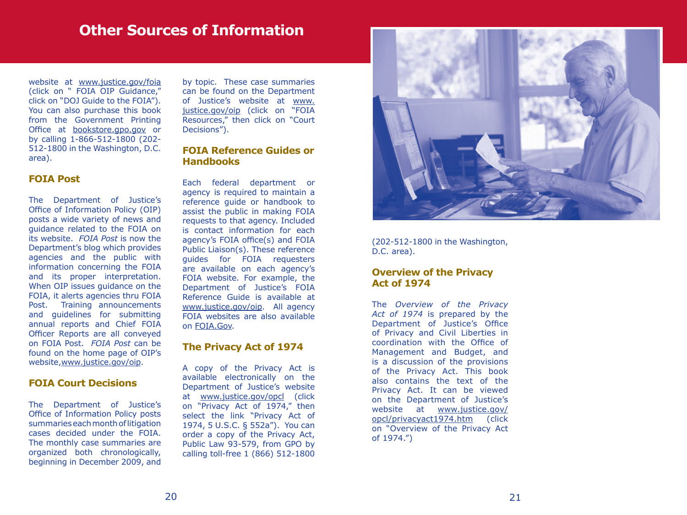# **Other Sources of Information**

website at [www.justice.gov/foia](http://www.justice.gov/foia) (click on " FOIA OIP Guidance," click on "DOJ Guide to the FOIA"). You can also purchase this book from the Government Printing Office at [bookstore.gpo.gov](http://bookstore.gpo.gov) or by calling 1-866-512-1800 (202- 512-1800 in the Washington, D.C. area).

# **FOIA Post**

The Department of Justice's Office of Information Policy (OIP) posts a wide variety of news and guidance related to the FOIA on its website. *FOIA Post* is now the Department's blog which provides agencies and the public with information concerning the FOIA and its proper interpretation. When OIP issues guidance on the FOIA, it alerts agencies thru FOIA Post. Training announcements and guidelines for submitting annual reports and Chief FOIA Officer Reports are all conveyed on FOIA Post. *FOIA Post* can be found on the home page of OIP's website[,www.justice.gov/oip](http://www.justice.gov/oip).

#### **FOIA Court Decisions**

The Department of Justice's Office of Information Policy posts summaries each month of litigation cases decided under the FOIA. The monthly case summaries are organized both chronologically, beginning in December 2009, and

by topic. These case summaries can be found on the Department of Justice's website at [www.](http://www.justice.gov/oip) [justice.gov/oip](http://www.justice.gov/oip) (click on "FOIA Resources," then click on "Court Decisions").

## **FOIA Reference Guides or Handbooks**

Each federal department or agency is required to maintain a reference guide or handbook to assist the public in making FOIA requests to that agency. Included is contact information for each agency's FOIA office(s) and FOIA Public Liaison(s). These reference guides for FOIA requesters are available on each agency's FOIA website. For example, the Department of Justice's FOIA Reference Guide is available at [www.justice.gov/oip.](http://www.justice.gov/oip) All agency FOIA websites are also available on [FOIA.Gov](http://www.foia.gov).

# **The Privacy Act of 1974**

A copy of the Privacy Act is available electronically on the Department of Justice's website at [www.justice.gov/opcl](http://www.justice.gov/opcl) (click on "Privacy Act of 1974," then select the link "Privacy Act of 1974, 5 U.S.C. § 552a"). You can order a copy of the Privacy Act, Public Law 93-579, from GPO by calling toll-free 1 (866) 512-1800



(202-512-1800 in the Washington, D.C. area).

#### **Overview of the Privacy Act of 1974**

The *Overview of the Privacy Act of 1974* is prepared by the Department of Justice's Office of Privacy and Civil Liberties in coordination with the Office of Management and Budget, and is a discussion of the provisions of the Privacy Act. This book also contains the text of the Privacy Act. It can be viewed on the Department of Justice's website at [www.justice.gov/](http://www.justice.gov/opcl/privacyact1974.htm) [opcl/privacyact1974.htm](http://www.justice.gov/opcl/privacyact1974.htm) (click on "Overview of the Privacy Act of 1974.")